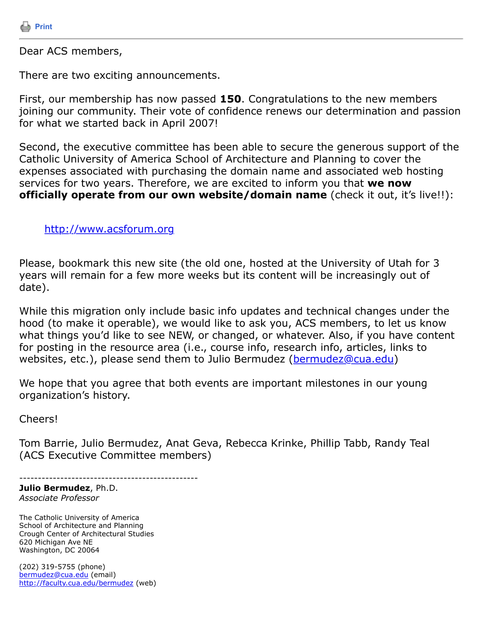

Dear ACS members,

There are two exciting announcements.

First, our membership has now passed **150**. Congratulations to the new members joining our community. Their vote of confidence renews our determination and passion for what we started back in April 2007!

Second, the executive committee has been able to secure the generous support of the Catholic University of America School of Architecture and Planning to cover the expenses associated with purchasing the domain name and associated web hosting services for two years. Therefore, we are excited to inform you that **we now officially operate from our own website/domain name** (check it out, it's live!!):

[http://www.acsforum.org](http://www.acsforum.org/) 

Please, bookmark this new site (the old one, hosted at the University of Utah for 3 years will remain for a few more weeks but its content will be increasingly out of date).

While this migration only include basic info updates and technical changes under the hood (to make it operable), we would like to ask you, ACS members, to let us know what things you'd like to see NEW, or changed, or whatever. Also, if you have content for posting in the resource area (i.e., course info, research info, articles, links to websites, etc.), please send them to Julio Bermudez ([bermudez@cua.edu](https://listserv.tamu.edu/cgi-bin/bermudez@cua.edu))

We hope that you agree that both events are important milestones in our young organization's history.

Cheers!

Tom Barrie, Julio Bermudez, Anat Geva, Rebecca Krinke, Phillip Tabb, Randy Teal (ACS Executive Committee members)

------------------------------------------------

**Julio Bermudez**, Ph.D. *Associate Professor*

The Catholic University of America School of Architecture and Planning Crough Center of Architectural Studies 620 Michigan Ave NE Washington, DC 20064

(202) 319-5755 (phone) [bermudez@cua.edu](https://listserv.tamu.edu/cgi-bin/bermudez@cua.edu) (email) <http://faculty.cua.edu/bermudez> (web)